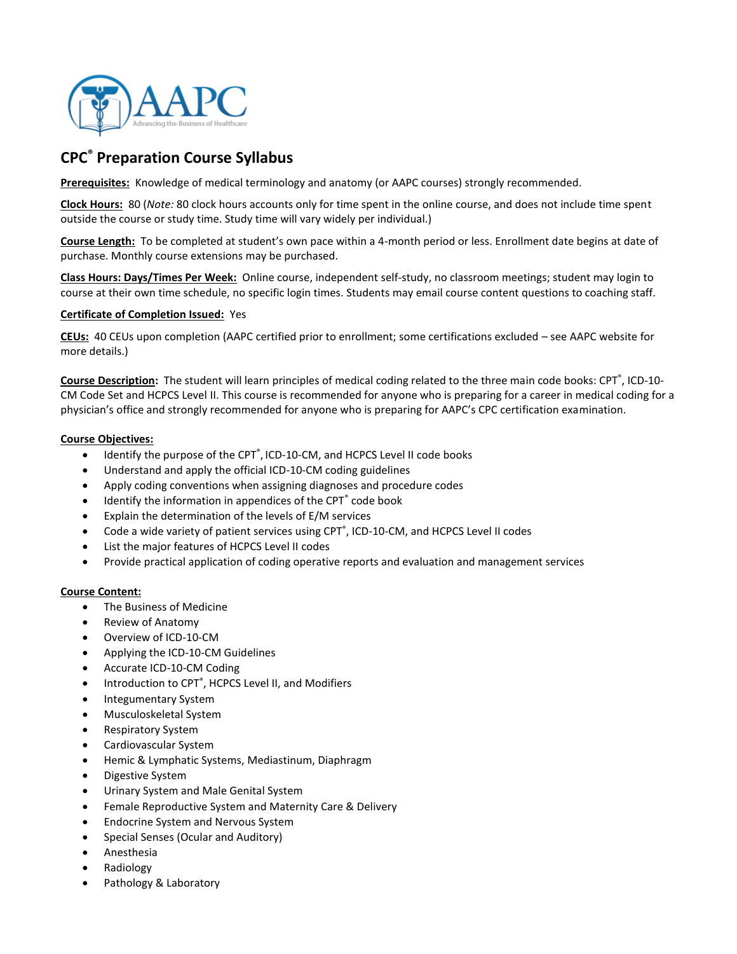

# **CPC® Preparation Course Syllabus**

**Prerequisites:** Knowledge of medical terminology and anatomy (or AAPC courses) strongly recommended.

**Clock Hours:** 80 (*Note:* 80 clock hours accounts only for time spent in the online course, and does not include time spent outside the course or study time. Study time will vary widely per individual.)

**Course Length:** To be completed at student's own pace within a 4-month period or less. Enrollment date begins at date of purchase. Monthly course extensions may be purchased.

**Class Hours: Days/Times Per Week:** Online course, independent self-study, no classroom meetings; student may login to course at their own time schedule, no specific login times. Students may email course content questions to coaching staff.

#### **Certificate of Completion Issued:** Yes

**CEUs:** 40 CEUs upon completion (AAPC certified prior to enrollment; some certifications excluded – see AAPC website for more details.)

Course Description: The student will learn principles of medical coding related to the three main code books: CPT<sup>®</sup>, ICD-10-CM Code Set and HCPCS Level II. This course is recommended for anyone who is preparing for a career in medical coding for a physician's office and strongly recommended for anyone who is preparing for AAPC's CPC certification examination.

#### **Course Objectives:**

- Identify the purpose of the CPT<sup>®</sup>, ICD-10-CM, and HCPCS Level II code books
- Understand and apply the official ICD-10-CM coding guidelines
- Apply coding conventions when assigning diagnoses and procedure codes
- Identify the information in appendices of the CPT<sup>®</sup> code book
- Explain the determination of the levels of E/M services
- Code a wide variety of patient services using CPT<sup>®</sup>, ICD-10-CM, and HCPCS Level II codes
- List the major features of HCPCS Level II codes
- Provide practical application of coding operative reports and evaluation and management services

#### **Course Content:**

- The Business of Medicine
- Review of Anatomy
- Overview of ICD-10-CM
- Applying the ICD-10-CM Guidelines
- Accurate ICD-10-CM Coding
- Introduction to CPT<sup>®</sup>, HCPCS Level II, and Modifiers
- Integumentary System
- Musculoskeletal System
- Respiratory System
- Cardiovascular System
- Hemic & Lymphatic Systems, Mediastinum, Diaphragm
- Digestive System
- Urinary System and Male Genital System
- Female Reproductive System and Maternity Care & Delivery
- Endocrine System and Nervous System
- Special Senses (Ocular and Auditory)
- Anesthesia
- Radiology
- Pathology & Laboratory